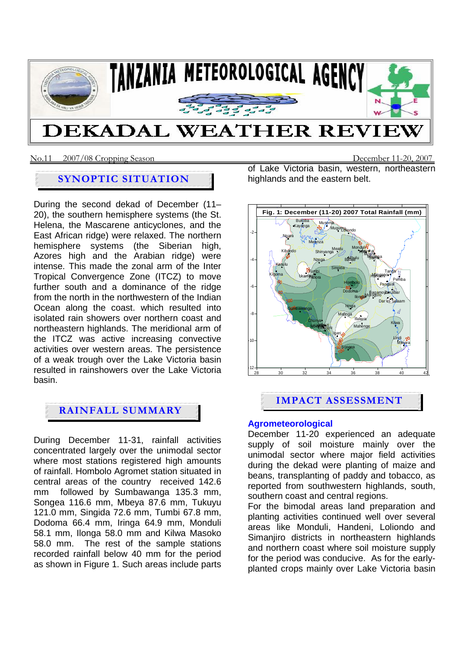

#### No.11 2007/08 Cropping SeasonDecember 11-20, 2007

## **SYNOPTIC SITUATION**

During the second dekad of December (11– 20), the southern hemisphere systems (the St. Helena, the Mascarene anticyclones, and the East African ridge) were relaxed. The northern hemisphere systems (the Siberian high, Azores high and the Arabian ridge) were intense. This made the zonal arm of the Inter Tropical Convergence Zone (ITCZ) to move further south and a dominance of the ridge from the north in the northwestern of the Indian Ocean along the coast. which resulted into isolated rain showers over northern coast and northeastern highlands. The meridional arm of the ITCZ was active increasing convective activities over western areas. The persistence of a weak trough over the Lake Victoria basin resulted in rainshowers over the Lake Victoria basin.

## **RAINFALL SUMMARY**

During December 11-31, rainfall activities concentrated largely over the unimodal sector where most stations registered high amounts of rainfall. Hombolo Agromet station situated in central areas of the country received 142.6 mm followed by Sumbawanga 135.3 mm, Songea 116.6 mm, Mbeya 87.6 mm, Tukuyu 121.0 mm, Singida 72.6 mm, Tumbi 67.8 mm, Dodoma 66.4 mm, Iringa 64.9 mm, Monduli 58.1 mm, Ilonga 58.0 mm and Kilwa Masoko 58.0 mm. The rest of the sample stations recorded rainfall below 40 mm for the period as shown in Figure 1. Such areas include parts

of Lake Victoria basin, western, northeastern highlands and the eastern belt.



# **IMPACT ASSESSMENT**

#### **Agrometeorological**

December 11-20 experienced an adequate supply of soil moisture mainly over the unimodal sector where major field activities during the dekad were planting of maize and beans, transplanting of paddy and tobacco, as reported from southwestern highlands, south, southern coast and central regions.

For the bimodal areas land preparation and planting activities continued well over several areas like Monduli, Handeni, Loliondo and Simanjiro districts in northeastern highlands and northern coast where soil moisture supply for the period was conducive. As for the earlyplanted crops mainly over Lake Victoria basin